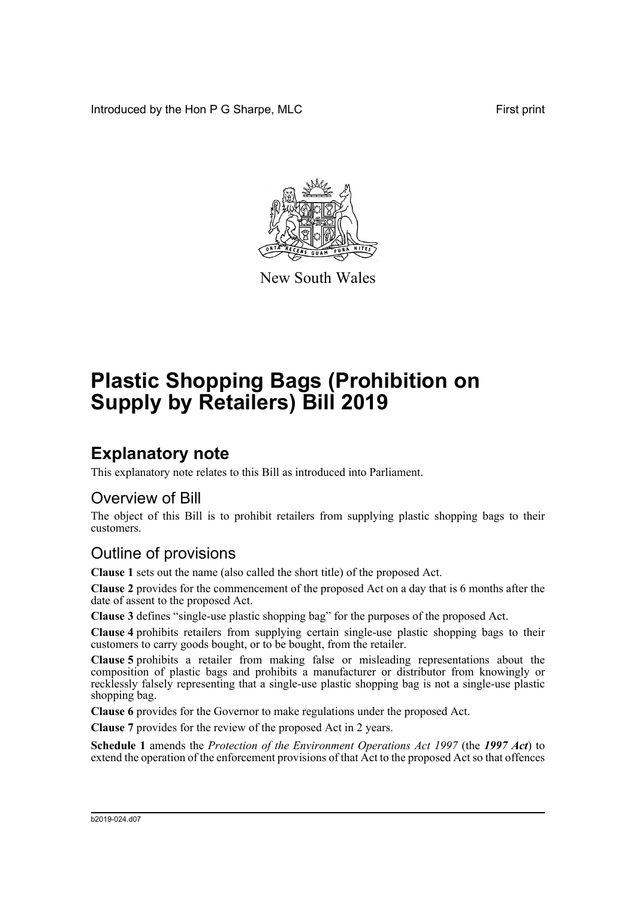Introduced by the Hon P G Sharpe, MLC First print



New South Wales

# **Plastic Shopping Bags (Prohibition on Supply by Retailers) Bill 2019**

## **Explanatory note**

This explanatory note relates to this Bill as introduced into Parliament.

#### Overview of Bill

The object of this Bill is to prohibit retailers from supplying plastic shopping bags to their customers.

### Outline of provisions

**Clause 1** sets out the name (also called the short title) of the proposed Act.

**Clause 2** provides for the commencement of the proposed Act on a day that is 6 months after the date of assent to the proposed Act.

**Clause 3** defines "single-use plastic shopping bag" for the purposes of the proposed Act.

**Clause 4** prohibits retailers from supplying certain single-use plastic shopping bags to their customers to carry goods bought, or to be bought, from the retailer.

**Clause 5** prohibits a retailer from making false or misleading representations about the composition of plastic bags and prohibits a manufacturer or distributor from knowingly or recklessly falsely representing that a single-use plastic shopping bag is not a single-use plastic shopping bag.

**Clause 6** provides for the Governor to make regulations under the proposed Act.

**Clause 7** provides for the review of the proposed Act in 2 years.

**Schedule 1** amends the *Protection of the Environment Operations Act 1997* (the *1997 Act*) to extend the operation of the enforcement provisions of that Act to the proposed Act so that offences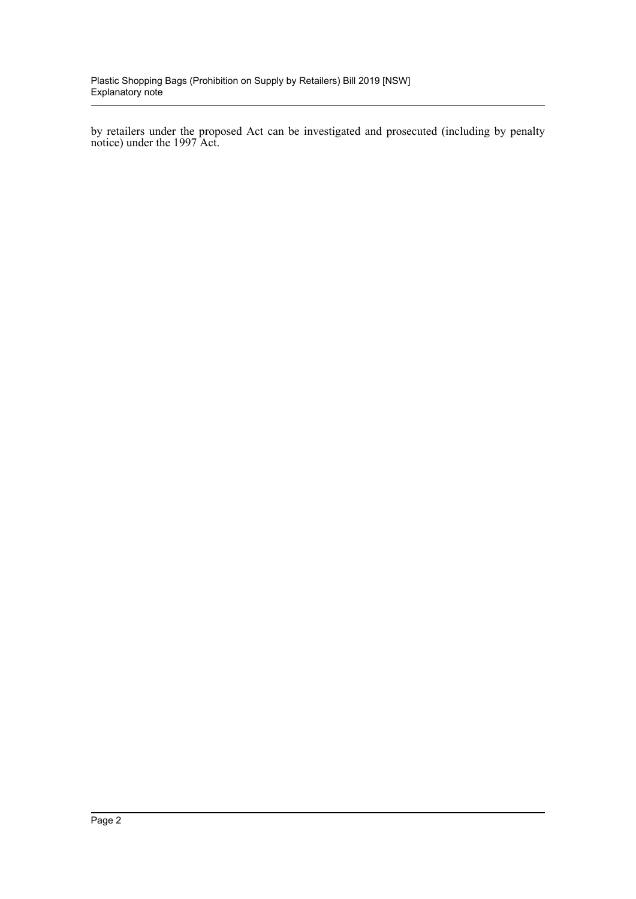by retailers under the proposed Act can be investigated and prosecuted (including by penalty notice) under the 1997 Act.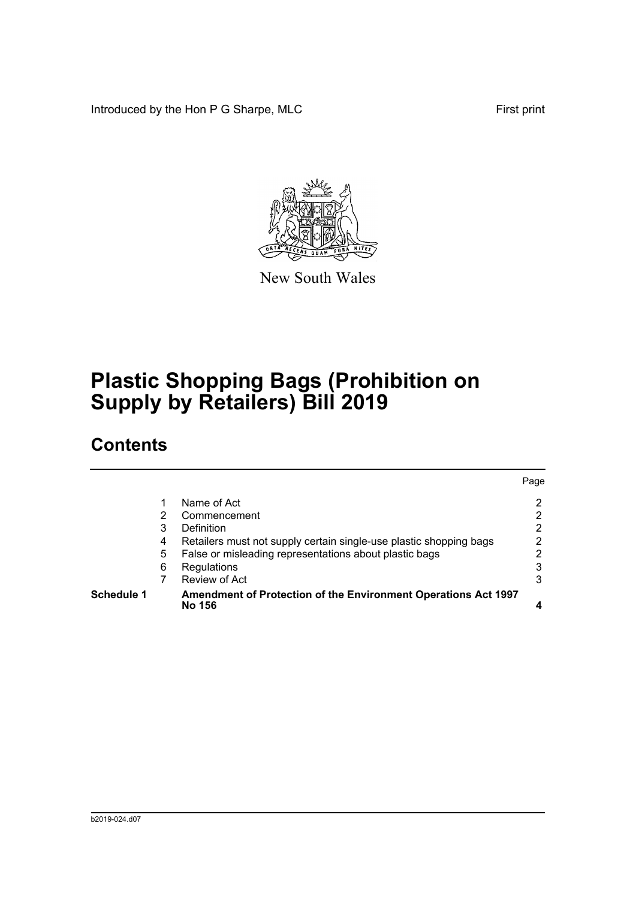Introduced by the Hon P G Sharpe, MLC First print



New South Wales

## **Plastic Shopping Bags (Prohibition on Supply by Retailers) Bill 2019**

### **Contents**

| <b>Schedule 1</b> |   | Amendment of Protection of the Environment Operations Act 1997<br>No 156 |      |
|-------------------|---|--------------------------------------------------------------------------|------|
|                   |   | Review of Act                                                            | 3    |
|                   | 6 | Regulations                                                              | 3    |
|                   | 5 | False or misleading representations about plastic bags                   |      |
|                   | 4 | Retailers must not supply certain single-use plastic shopping bags       | 2    |
|                   | 3 | Definition                                                               | 2    |
|                   | 2 | Commencement                                                             | 2    |
|                   |   | Name of Act                                                              | 2    |
|                   |   |                                                                          | Page |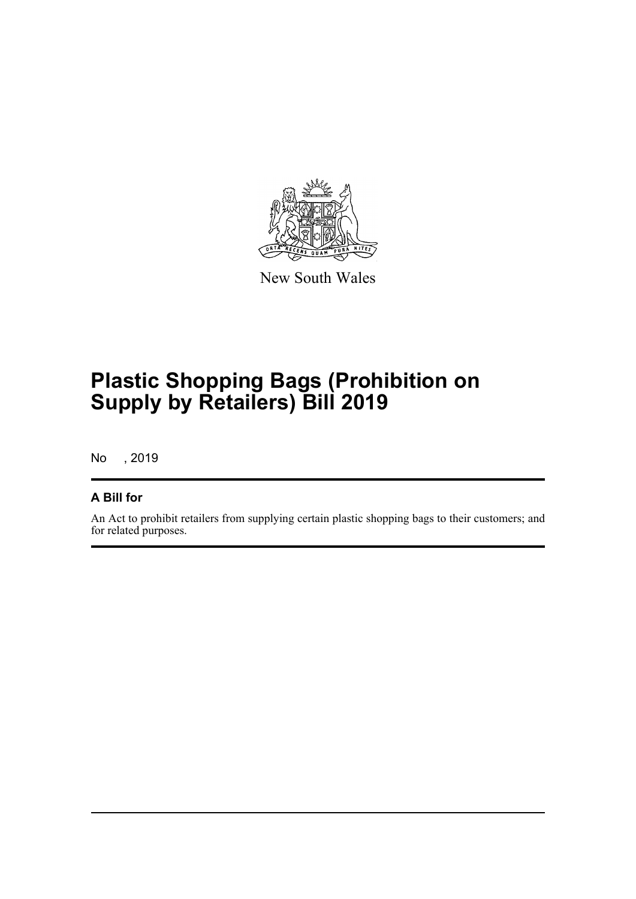

New South Wales

## **Plastic Shopping Bags (Prohibition on Supply by Retailers) Bill 2019**

No , 2019

#### **A Bill for**

An Act to prohibit retailers from supplying certain plastic shopping bags to their customers; and for related purposes.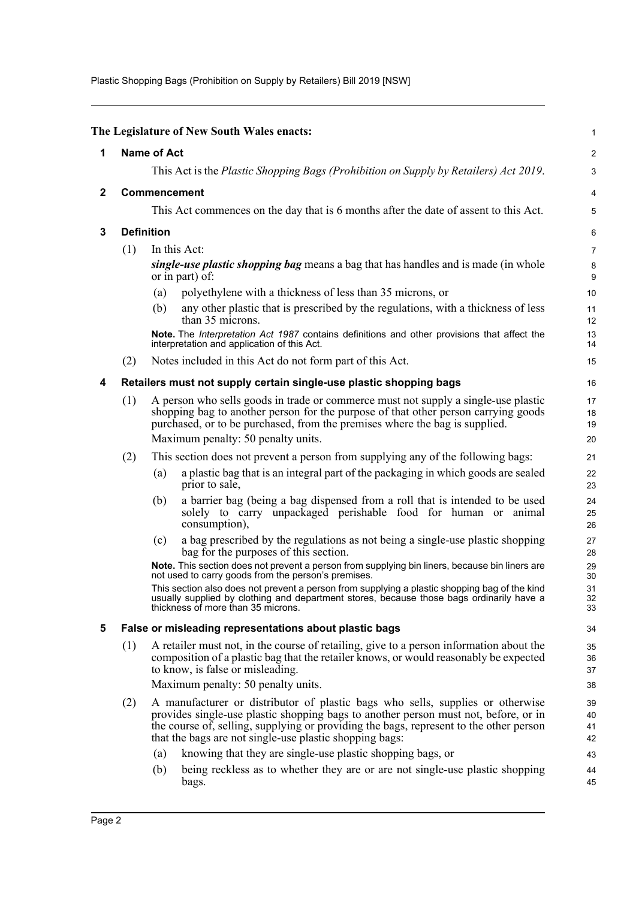Plastic Shopping Bags (Prohibition on Supply by Retailers) Bill 2019 [NSW]

<span id="page-4-4"></span><span id="page-4-3"></span><span id="page-4-2"></span><span id="page-4-1"></span><span id="page-4-0"></span>

|              |                                                                                              |                                                                                                                                                                                                                                                                                                                            | The Legislature of New South Wales enacts:                                                                                                                                                                                                              | 1                    |  |  |
|--------------|----------------------------------------------------------------------------------------------|----------------------------------------------------------------------------------------------------------------------------------------------------------------------------------------------------------------------------------------------------------------------------------------------------------------------------|---------------------------------------------------------------------------------------------------------------------------------------------------------------------------------------------------------------------------------------------------------|----------------------|--|--|
| 1            | <b>Name of Act</b>                                                                           |                                                                                                                                                                                                                                                                                                                            |                                                                                                                                                                                                                                                         |                      |  |  |
|              | This Act is the <i>Plastic Shopping Bags (Prohibition on Supply by Retailers) Act 2019</i> . |                                                                                                                                                                                                                                                                                                                            |                                                                                                                                                                                                                                                         |                      |  |  |
| $\mathbf{2}$ | <b>Commencement</b>                                                                          |                                                                                                                                                                                                                                                                                                                            |                                                                                                                                                                                                                                                         |                      |  |  |
|              |                                                                                              |                                                                                                                                                                                                                                                                                                                            | This Act commences on the day that is 6 months after the date of assent to this Act.                                                                                                                                                                    | 5                    |  |  |
| 3            |                                                                                              | <b>Definition</b>                                                                                                                                                                                                                                                                                                          |                                                                                                                                                                                                                                                         |                      |  |  |
|              | (1)                                                                                          | In this Act:                                                                                                                                                                                                                                                                                                               |                                                                                                                                                                                                                                                         |                      |  |  |
|              |                                                                                              | single-use plastic shopping bag means a bag that has handles and is made (in whole<br>or in part) of:                                                                                                                                                                                                                      |                                                                                                                                                                                                                                                         |                      |  |  |
|              |                                                                                              | (a)                                                                                                                                                                                                                                                                                                                        | polyethylene with a thickness of less than 35 microns, or                                                                                                                                                                                               | 10                   |  |  |
|              |                                                                                              | (b)                                                                                                                                                                                                                                                                                                                        | any other plastic that is prescribed by the regulations, with a thickness of less<br>than 35 microns.                                                                                                                                                   | 11<br>12             |  |  |
|              |                                                                                              |                                                                                                                                                                                                                                                                                                                            | Note. The Interpretation Act 1987 contains definitions and other provisions that affect the<br>interpretation and application of this Act.                                                                                                              | 13<br>14             |  |  |
|              | (2)                                                                                          |                                                                                                                                                                                                                                                                                                                            | Notes included in this Act do not form part of this Act.                                                                                                                                                                                                | 15                   |  |  |
| 4            |                                                                                              |                                                                                                                                                                                                                                                                                                                            | Retailers must not supply certain single-use plastic shopping bags                                                                                                                                                                                      | 16                   |  |  |
|              | (1)                                                                                          |                                                                                                                                                                                                                                                                                                                            | A person who sells goods in trade or commerce must not supply a single-use plastic<br>shopping bag to another person for the purpose of that other person carrying goods<br>purchased, or to be purchased, from the premises where the bag is supplied. | 17<br>18<br>19       |  |  |
|              |                                                                                              |                                                                                                                                                                                                                                                                                                                            | Maximum penalty: 50 penalty units.                                                                                                                                                                                                                      | 20                   |  |  |
|              | (2)                                                                                          |                                                                                                                                                                                                                                                                                                                            | This section does not prevent a person from supplying any of the following bags:                                                                                                                                                                        | 21                   |  |  |
|              |                                                                                              | (a)                                                                                                                                                                                                                                                                                                                        | a plastic bag that is an integral part of the packaging in which goods are sealed<br>prior to sale,                                                                                                                                                     | 22<br>23             |  |  |
|              |                                                                                              | (b)                                                                                                                                                                                                                                                                                                                        | a barrier bag (being a bag dispensed from a roll that is intended to be used<br>solely to carry unpackaged perishable food for human or animal<br>consumption),                                                                                         | 24<br>25<br>26       |  |  |
|              |                                                                                              | (c)                                                                                                                                                                                                                                                                                                                        | a bag prescribed by the regulations as not being a single-use plastic shopping<br>bag for the purposes of this section.                                                                                                                                 | 27<br>28             |  |  |
|              |                                                                                              |                                                                                                                                                                                                                                                                                                                            | Note. This section does not prevent a person from supplying bin liners, because bin liners are<br>not used to carry goods from the person's premises.                                                                                                   | 29<br>30             |  |  |
|              |                                                                                              |                                                                                                                                                                                                                                                                                                                            | This section also does not prevent a person from supplying a plastic shopping bag of the kind<br>usually supplied by clothing and department stores, because those bags ordinarily have a<br>thickness of more than 35 microns.                         | 31<br>32<br>33       |  |  |
| 5            |                                                                                              |                                                                                                                                                                                                                                                                                                                            | False or misleading representations about plastic bags                                                                                                                                                                                                  | 34                   |  |  |
|              | (1)                                                                                          |                                                                                                                                                                                                                                                                                                                            | A retailer must not, in the course of retailing, give to a person information about the<br>composition of a plastic bag that the retailer knows, or would reasonably be expected<br>to know, is false or misleading.                                    | 35<br>36<br>37       |  |  |
|              |                                                                                              |                                                                                                                                                                                                                                                                                                                            | Maximum penalty: 50 penalty units.                                                                                                                                                                                                                      | 38                   |  |  |
|              | (2)                                                                                          | A manufacturer or distributor of plastic bags who sells, supplies or otherwise<br>provides single-use plastic shopping bags to another person must not, before, or in<br>the course of, selling, supplying or providing the bags, represent to the other person<br>that the bags are not single-use plastic shopping bags: |                                                                                                                                                                                                                                                         | 39<br>40<br>41<br>42 |  |  |
|              |                                                                                              | (a)                                                                                                                                                                                                                                                                                                                        | knowing that they are single-use plastic shopping bags, or                                                                                                                                                                                              | 43                   |  |  |
|              |                                                                                              | (b)                                                                                                                                                                                                                                                                                                                        | being reckless as to whether they are or are not single-use plastic shopping<br>bags.                                                                                                                                                                   | 44<br>45             |  |  |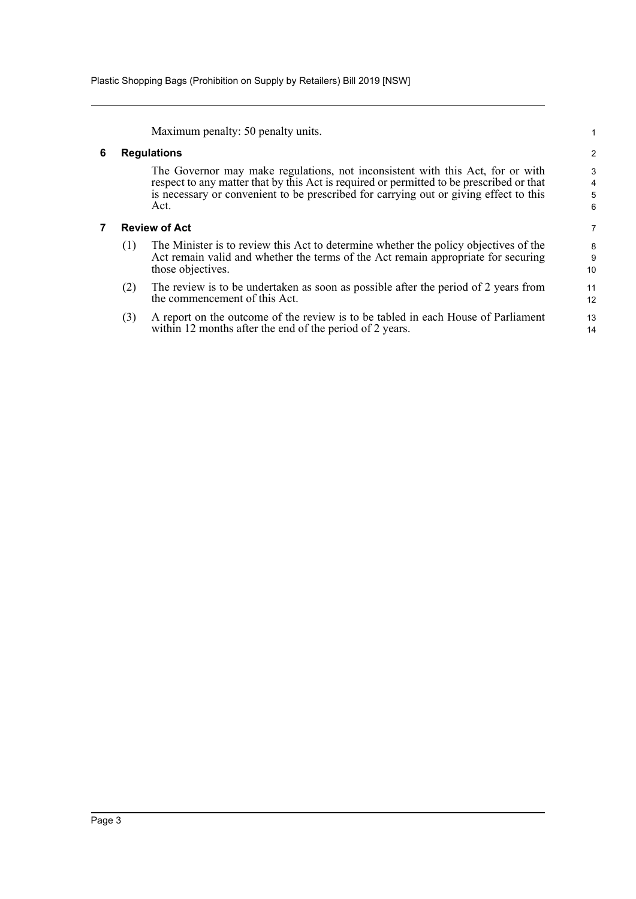Maximum penalty: 50 penalty units.

#### <span id="page-5-0"></span>**6 Regulations**

The Governor may make regulations, not inconsistent with this Act, for or with respect to any matter that by this Act is required or permitted to be prescribed or that is necessary or convenient to be prescribed for carrying out or giving effect to this Act.

#### <span id="page-5-1"></span>**7 Review of Act**

- (1) The Minister is to review this Act to determine whether the policy objectives of the Act remain valid and whether the terms of the Act remain appropriate for securing those objectives.
- (2) The review is to be undertaken as soon as possible after the period of 2 years from the commencement of this Act.
- (3) A report on the outcome of the review is to be tabled in each House of Parliament within 12 months after the end of the period of 2 years.